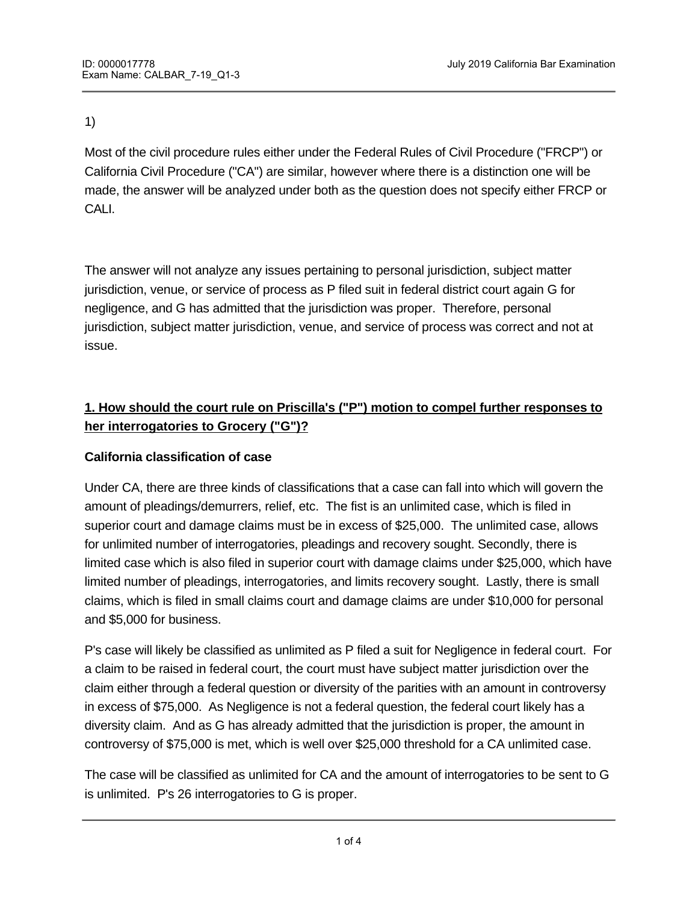# 1)

Most of the civil procedure rules either under the Federal Rules of Civil Procedure ("FRCP") or California Civil Procedure ("CA") are similar, however where there is a distinction one will be made, the answer will be analyzed under both as the question does not specify either FRCP or CALI.

The answer will not analyze any issues pertaining to personal jurisdiction, subject matter jurisdiction, venue, or service of process as P filed suit in federal district court again G for negligence, and G has admitted that the jurisdiction was proper. Therefore, personal jurisdiction, subject matter jurisdiction, venue, and service of process was correct and not at issue.

# **1. How should the court rule on Priscilla's ("P") motion to compel further responses to her interrogatories to Grocery ("G")?**

# **California classification of case**

**What is discoverable?**

Under CA, there are three kinds of classifications that a case can fall into which will govern the amount of pleadings/demurrers, relief, etc. The fist is an unlimited case, which is filed in superior court and damage claims must be in excess of \$25,000. The unlimited case, allows for unlimited number of interrogatories, pleadings and recovery sought. Secondly, there is limited case which is also filed in superior court with damage claims under \$25,000, which have limited number of pleadings, interrogatories, and limits recovery sought. Lastly, there is small claims, which is filed in small claims court and damage claims are under \$10,000 for personal and \$5,000 for business.

P's case will likely be classified as unlimited as P filed a suit for Negligence in federal court. For a claim to be raised in federal court, the court must have subject matter jurisdiction over the claim either through a federal question or diversity of the parities with an amount in controversy in excess of \$75,000. As Negligence is not a federal question, the federal court likely has a diversity claim. And as G has already admitted that the jurisdiction is proper, the amount in controversy of \$75,000 is met, which is well over \$25,000 threshold for a CA unlimited case.

The case will be classified as unlimited for CA and the amount of interrogatories to be sent to G is unlimited. P's 26 interrogatories to G is proper.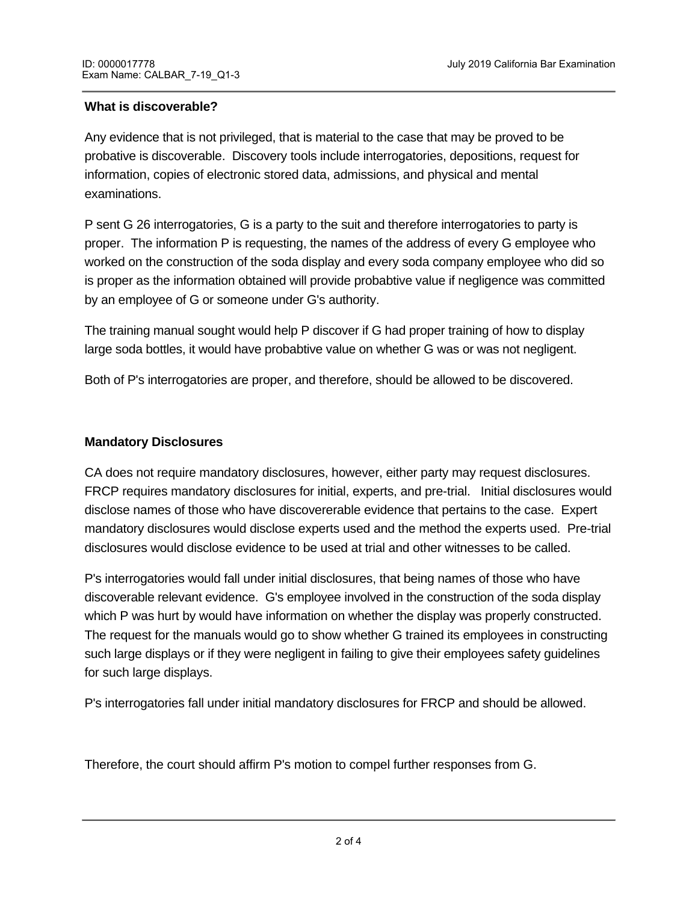## **What is discoverable?**

Any evidence that is not privileged, that is material to the case that may be proved to be probative is discoverable. Discovery tools include interrogatories, depositions, request for information, copies of electronic stored data, admissions, and physical and mental examinations.

P sent G 26 interrogatories, G is a party to the suit and therefore interrogatories to party is proper. The information P is requesting, the names of the address of every G employee who worked on the construction of the soda display and every soda company employee who did so is proper as the information obtained will provide probabtive value if negligence was committed by an employee of G or someone under G's authority.

The training manual sought would help P discover if G had proper training of how to display large soda bottles, it would have probabtive value on whether G was or was not negligent.

Both of P's interrogatories are proper, and therefore, should be allowed to be discovered.

# **Mandatory Disclosures**

CA does not require mandatory disclosures, however, either party may request disclosures. FRCP requires mandatory disclosures for initial, experts, and pre-trial. Initial disclosures would disclose names of those who have discovererable evidence that pertains to the case. Expert mandatory disclosures would disclose experts used and the method the experts used. Pre-trial disclosures would disclose evidence to be used at trial and other witnesses to be called.

P's interrogatories would fall under initial disclosures, that being names of those who have discoverable relevant evidence. G's employee involved in the construction of the soda display which P was hurt by would have information on whether the display was properly constructed. The request for the manuals would go to show whether G trained its employees in constructing such large displays or if they were negligent in failing to give their employees safety guidelines for such large displays.

P's interrogatories fall under initial mandatory disclosures for FRCP and should be allowed.

Therefore, the court should affirm P's motion to compel further responses from G.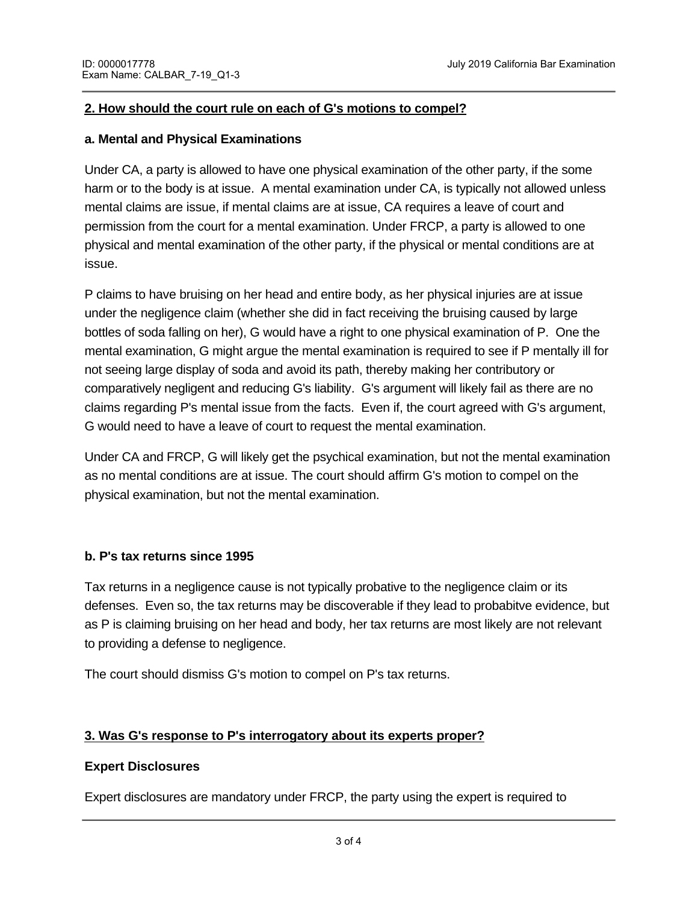## **2. How should the court rule on each of G's motions to compel?**

#### **a. Mental and Physical Examinations**

Under CA, a party is allowed to have one physical examination of the other party, if the some harm or to the body is at issue. A mental examination under CA, is typically not allowed unless mental claims are issue, if mental claims are at issue, CA requires a leave of court and permission from the court for a mental examination. Under FRCP, a party is allowed to one physical and mental examination of the other party, if the physical or mental conditions are at issue.

P claims to have bruising on her head and entire body, as her physical injuries are at issue under the negligence claim (whether she did in fact receiving the bruising caused by large bottles of soda falling on her), G would have a right to one physical examination of P. One the mental examination, G might argue the mental examination is required to see if P mentally ill for not seeing large display of soda and avoid its path, thereby making her contributory or comparatively negligent and reducing G's liability. G's argument will likely fail as there are no claims regarding P's mental issue from the facts. Even if, the court agreed with G's argument, G would need to have a leave of court to request the mental examination.

Under CA and FRCP, G will likely get the psychical examination, but not the mental examination as no mental conditions are at issue. The court should affirm G's motion to compel on the physical examination, but not the mental examination.

## **b. P's tax returns since 1995**

Tax returns in a negligence cause is not typically probative to the negligence claim or its defenses. Even so, the tax returns may be discoverable if they lead to probabitve evidence, but as P is claiming bruising on her head and body, her tax returns are most likely are not relevant to providing a defense to negligence.

The court should dismiss G's motion to compel on P's tax returns.

disclose the experts name and methods used by the expert.

# **3. Was G's response to P's interrogatory about its experts proper?**

## **Expert Disclosures**

Expert disclosures are mandatory under FRCP, the party using the expert is required to